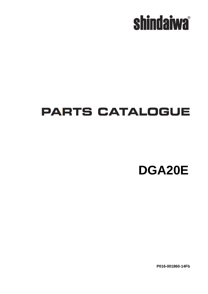

## **PARTS CATALOGUE**

**DGA20E**

**P016-001860-14Fb**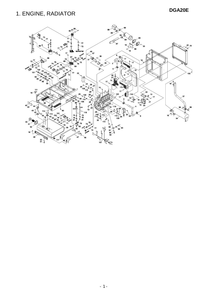### **DGA20E** 1. ENGINE, RADIATOR

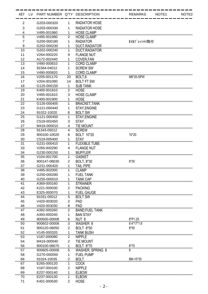| KEY LV         | PART NUMBER Q'TY DESCRIPTION |                |                         | <b>REMARKS</b> | NOTE1 | NOTE <sub>2</sub> |
|----------------|------------------------------|----------------|-------------------------|----------------|-------|-------------------|
| 2              | G203-000320                  | 1              | <b>RADIATOR HOSE</b>    |                |       |                   |
| 3              | G203-000330                  | 1              | <b>RADIATOR HOSE</b>    |                |       |                   |
| 4              | V495-001980                  | 1              | <b>HOSE CLAMP</b>       |                |       |                   |
| 5              | V495-001990                  | 2              | <b>HOSE CLAMP</b>       |                |       |                   |
| $\overline{7}$ | G200-000180                  | 1              | <b>RADIATOR</b>         | オイルプレッシャリ取付    |       |                   |
| 9              | G202-000230                  | 1              | <b>DUCT, RADIATOR</b>   |                |       |                   |
| 10             | G202-000240                  | 1              | DUCT, RADIATOR          |                |       |                   |
| 11             | V264-000220                  | 9              | <b>FLANGE NUT</b>       |                |       |                   |
| 12             | A172-002440                  | 1              | <b>COVER, FAN</b>       |                |       |                   |
| 13             | V490-000810                  |                | <b>CORD CLAMP</b>       |                |       |                   |
| 14             | 91564-04012                  | 1              | <b>SCREW SW</b>         |                |       |                   |
| 15             | V490-000820                  | 1              | <b>CORD CLAMP</b>       |                |       |                   |
| 16             | V205-001170                  | 20             | BOLT,8                  | M8*20-SPW      |       |                   |
| 17             | V204-001090                  | 14             | <b>BOLT FT SW</b>       |                |       |                   |
| 18             | G125-000150                  | 1              | <b>SUB TANK</b>         |                |       |                   |
| 19             | K400-001810                  | $\overline{2}$ | <b>HOSE</b>             |                |       |                   |
| 20             | V495-001810                  | 3              | <b>HOSE CLAMP</b>       |                |       |                   |
| 21             | K400-001900                  | 1              | <b>HOSE</b>             |                |       |                   |
| 22             | G126-000400                  | 1              | <b>BRACKET, TANK</b>    |                |       |                   |
| 23             | G121-000440                  | 1              | STAY, ENGINE            |                |       |                   |
| 24             | 91022-10020                  | 8              | <b>BOLT SW</b>          |                |       |                   |
| 25             | G121-000450                  | 1              | STAY, ENGINE            |                |       |                   |
| 26             | C519-002450                  | 3              | <b>STAY</b>             |                |       |                   |
| 27             | M416-000010                  | 4              | <b>TIE MOUNT</b>        |                |       |                   |
| 28             | 91343-05012                  | 4              | <b>SCREW</b>            |                |       |                   |
| 29             | 900100-10020                 | 6              | <b>BOLT 10*20</b>       | 10*20          |       |                   |
| 30             | C519-005400                  |                | <b>STAY</b>             |                |       |                   |
| 31             | G231-000410                  |                | <b>FLEXIBLE TUBE</b>    |                |       |                   |
| 33             | V265-000290                  | 4              | <b>FLANGE NUT</b>       |                |       |                   |
| 34             | G230-000150                  | 1              | <b>MUFFLER</b>          |                |       |                   |
| 35             | V104-001700                  | 1              | <b>GASKET</b>           |                |       |                   |
| 36             | 900147-08030                 | $\overline{2}$ | BOLT, 8*30              | $8*30$         |       |                   |
| 37             | G231-000420                  | 1              | <b>TAIL PIPE</b>        |                |       |                   |
| 38             | V495-002000                  | 1              | <b>CLAMP</b>            |                |       |                   |
| 39             | G250-000280                  | 1              | <b>FUEL TANK</b>        |                |       |                   |
| 40             | G255-000010                  | 1              | <b>TANK CAP</b>         |                |       |                   |
| 41             | A369-000160                  | 1              | <b>STRAINER</b>         |                |       |                   |
| 42             | K221-000030                  | $\overline{2}$ | <b>PACKING</b>          |                |       |                   |
| 43             | E325-000070                  | 1              | <b>FUEL GAUGE</b>       |                |       |                   |
| 44             | 91031-05012                  | 5              | <b>BOLT SW</b>          |                |       |                   |
| 45             | V420-003020                  | 2              | PAD                     |                |       |                   |
| 46             | V420-003030                  | 8              | PAD                     |                |       |                   |
| 47             | A392-000260                  | 2              | <b>BAND, FUEL TANK</b>  |                |       |                   |
| 48             | A393-000240                  | 1              | <b>BAN STAY</b>         |                |       |                   |
| 49             | 900500-00008                 | 6              | NUT <sub>8</sub>        | 8*P1.25        |       |                   |
| 50             | 900602-00008                 | 3              | WASHER 8                | $8.4*17*1.6$   |       |                   |
| 51             | 900120-08050                 | $\overline{2}$ | <b>BOLT 8*50</b>        | $8*50$         |       |                   |
| 52             | V145-000320                  | 1              | <b>TANK BUSH</b>        |                |       |                   |
| 53             | V187-000090                  | $\overline{2}$ | <b>NIPPLE</b>           |                |       |                   |
| 54             | M416-000040                  | 2              | <b>TIE MOUNT</b>        |                |       |                   |
| 56             | 900100-08070                 | 1              | <b>BOLT 8*70</b>        | $8*70$         |       |                   |
| 57             | 900605-00008                 | 5              | <b>WASHER, SPRING 8</b> | 8              |       |                   |
| 58             | G270-000050                  | 1              | <b>FUEL PUMP</b>        |                |       |                   |
| 66             | 91024-10035                  | 2              | <b>BOLT</b>             | BM-10*35       |       |                   |
| 67             | E265-000120                  | 1              | <b>COCK</b>             |                |       |                   |
| 68             | V187-000100                  | $\overline{2}$ | <b>NIPPLE</b>           |                |       |                   |
| 69             | E237-000140                  | 1              | <b>ELBOW</b>            |                |       |                   |
| 70             | E237-000130                  | 1              | <b>ELBOW</b>            |                |       |                   |
| 71             | K401-000530                  | $\overline{c}$ | <b>HOSE</b>             |                |       |                   |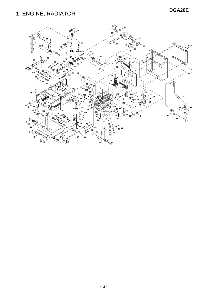### **DGA20E** 1. ENGINE, RADIATOR

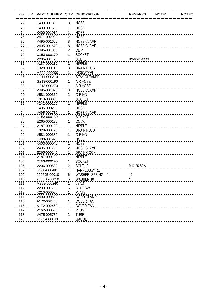| KEY LV | PART NUMBER Q'TY DESCRIPTION |                |                    |    | <b>REMARKS</b> | NOTE1 | NOTE <sub>2</sub> |
|--------|------------------------------|----------------|--------------------|----|----------------|-------|-------------------|
| 72     | K400-001880                  | 3              | <b>HOSE</b>        |    |                |       |                   |
| 73     | K400-001530                  | 1              | <b>HOSE</b>        |    |                |       |                   |
| 74     | K400-001910                  | 1              | <b>HOSE</b>        |    |                |       |                   |
| 75     | V471-002920                  | 2              | <b>HOSE</b>        |    |                |       |                   |
| 76     | V495-001660                  | 8              | <b>HOSE CLAMP</b>  |    |                |       |                   |
| 77     | V495-001670                  | 8              | <b>HOSE CLAMP</b>  |    |                |       |                   |
| 78     | V495-001800                  | 2              | <b>CLIP</b>        |    |                |       |                   |
| 79     | C153-000170                  | 1              | <b>SOCKET</b>      |    |                |       |                   |
| 80     | V205-001120                  | 4              | BOLT <sub>.8</sub> |    | BM-8*20 W SW   |       |                   |
| 81     | V <sub>187</sub> -000110     | 2              | <b>NIPPLE</b>      |    |                |       |                   |
| 82     | E328-000110                  | 3              | <b>DRAIN PLUG</b>  |    |                |       |                   |
| 84     | M609-000000                  | 1              | <b>INDICATOR</b>   |    |                |       |                   |
| 86     | G211-000310                  | 1              | STAY, CLEANER      |    |                |       |                   |
| 87     | G213-000190                  | 1              | <b>AIR HOSE</b>    |    |                |       |                   |
| 88     | G213-000270                  | 1              | <b>AIR HOSE</b>    |    |                |       |                   |
| 89     | V495-001820                  | 3              | <b>HOSE CLAMP</b>  |    |                |       |                   |
| 90     | V581-000370                  | $\overline{2}$ | O RING             |    |                |       |                   |
| 91     | K313-000030                  | 1              | <b>SOCKET</b>      |    |                |       |                   |
| 92     | V242-000260                  | 1              | <b>NIPPLE</b>      |    |                |       |                   |
| 93     | K405-000230                  | 1              | <b>HOSE</b>        |    |                |       |                   |
| 94     | V495-001710                  | 2              | <b>HOSE CLAMP</b>  |    |                |       |                   |
| 95     | C153-000180                  | 1              | <b>SOCKET</b>      |    |                |       |                   |
| 96     | E265-000130                  | 1              | <b>COCK</b>        |    |                |       |                   |
| 97     | V187-000130                  |                | <b>NIPPLE</b>      |    |                |       |                   |
| 98     | E328-000120                  | 1              | <b>DRAIN PLUG</b>  |    |                |       |                   |
| 99     | V581-000380                  | 1              | O RING             |    |                |       |                   |
| 100    | K400-001920                  | 1              | <b>HOSE</b>        |    |                |       |                   |
| 101    | K403-000040                  | 1              | <b>HOSE</b>        |    |                |       |                   |
| 102    | V495-001720                  | $\overline{2}$ | <b>HOSE CLAMP</b>  |    |                |       |                   |
| 103    | E265-000140                  | 1              | <b>DRAIN COCK</b>  |    |                |       |                   |
| 104    | V187-000120                  | 1              | <b>NIPPLE</b>      |    |                |       |                   |
| 105    | C153-000190                  | 1              | <b>SOCKET</b>      |    |                |       |                   |
| 106    | V206-000580                  | 2              | BOLT, 10           |    | M10*25-SPW     |       |                   |
| 107    | G360-000481                  | 1              | HARNESS, WIRE      |    |                |       |                   |
| 109    | 900605-00010                 | 6              | WASHER, SPRING 10  | 10 |                |       |                   |
| 110    | 900600-00010                 | 6              | <b>WASHER 10</b>   | 10 |                |       |                   |
| 111    | M383-000240                  | 1              | <b>LEAD</b>        |    |                |       |                   |
| 112    | V203-001730                  | 5              | <b>BOLT SW</b>     |    |                |       |                   |
| 113    | K210-000080                  |                | <b>PLATE</b>       |    |                |       |                   |
| 114    | V490-000830                  |                | <b>CORD CLAMP</b>  |    |                |       |                   |
| 115    | A172-002450                  | 1              | COVER, FAN         |    |                |       |                   |
| 116    | A172-002460                  | 1              | COVER, FAN         |    |                |       |                   |
| 117    | V162-000530                  | 1              | <b>PLUG</b>        |    |                |       |                   |
| 118    | V475-005730                  | 2              | <b>TUBE</b>        |    |                |       |                   |
| 120    | G365-000040                  | 1              | <b>GAUGE</b>       |    |                |       |                   |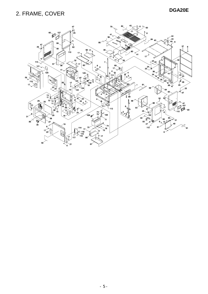### **DGA20E** 2. FRAME, COVER

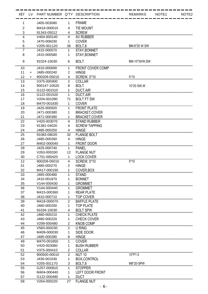|          |           | KEY LV PART NUMBER Q'TY DESCRIPTION |                |                                   | <b>REMARKS</b> | NOTE1 | NOTE <sub>2</sub> |
|----------|-----------|-------------------------------------|----------------|-----------------------------------|----------------|-------|-------------------|
| 1        |           | J405-003080                         | 1              | <b>FRAME</b>                      |                |       |                   |
| 2        |           | M416-000010                         | 4              | <b>TIE MOUNT</b>                  |                |       |                   |
| 3        |           | 91343-05012                         | 4              | <b>SCREW</b>                      |                |       |                   |
| 4        |           | V404-000140                         | 4              | <b>AV RUBBER</b>                  |                |       |                   |
| 5        |           | J470-006030                         | 1              | <b>COVER</b>                      |                |       |                   |
| 6        |           | V205-001120                         | 36             | BOLT.8                            | BM-8*20 W SW   |       |                   |
|          |           | J415-000570                         | 1              | STAY, BONNET                      |                |       |                   |
| 8        |           | J415-000580                         | 1              | STAY, BONNET                      |                |       |                   |
| 9        |           | 91024-10030                         | 6              | <b>BOLT</b>                       | BM-10*30/W,SW  |       |                   |
| 10       |           | J410-000690                         | 1              | <b>FRONT COVER COMP</b>           |                |       |                   |
| 11       | $\ddot{}$ | J485-000240                         | $\overline{2}$ | <b>HINGE</b>                      |                |       |                   |
| 12       | $+$       | 900209-05010                        | 4              | <b>SCREW, 5*10</b>                | $5*10$         |       |                   |
| 13       |           | V375-000400                         | $\overline{2}$ | <b>COLLAR</b>                     |                |       |                   |
| 14       |           | 900147-10020                        | 8              | <b>BOLT</b>                       | 10*20 SW, W    |       |                   |
| 15       |           | G122-001510                         | 1              | <b>DUCT.AIR</b>                   |                |       |                   |
| 16       |           | G122-001520                         | 1              | <b>DUCT, AIR</b>                  |                |       |                   |
| 17       |           | V204-001090                         | 71             | <b>BOLT FT SW</b>                 |                |       |                   |
| 18       |           | M470-001830                         | 1              | <b>COVER</b>                      |                |       |                   |
| 19       |           | J425-000920                         | 1              | <b>FRONT PLATE</b>                |                |       |                   |
| 20       |           | J471-000380                         | 1              | <b>BRACKET,COVER</b>              |                |       |                   |
| 21       |           | J471-000390                         | 1              | <b>BRACKET,COVER</b>              |                |       |                   |
| 22       |           | V420-003070                         | 4              | <b>STAND RUBBER</b>               |                |       |                   |
| 23       |           | 91381-04020                         | 4              | <b>SCREW TAPPING</b>              |                |       |                   |
| 24       |           | J485-000250                         | 4              | <b>HINGE</b>                      |                |       |                   |
| 25       |           | 91083-08020                         | 32             | <b>FLANGE BOLT</b>                |                |       |                   |
| 26       |           | J485-000260                         | 4              | <b>HINGE</b>                      |                |       |                   |
| 27       |           | M402-000040                         | 1              | <b>FRONT DOOR</b>                 |                |       |                   |
| 28<br>29 |           | J425-000740<br>V263-000330          | 1<br>12        | <b>PANEL</b><br><b>FLANGE NUT</b> |                |       |                   |
| 30       |           | C701-000420                         | 1              | <b>LOCK COVER</b>                 |                |       |                   |
| 12       |           | 900209-05010                        | 4              | <b>SCREW, 5*10</b>                | $5*10$         |       |                   |
| 31       |           | J485-000270                         | $\overline{2}$ | <b>HINGE</b>                      |                |       |                   |
| 32       |           | M417-000190                         | 1              | COVER, BOX                        |                |       |                   |
| 33       |           | J465-000480                         | 1              | <b>STAND</b>                      |                |       |                   |
| 34       |           | J410-001870                         | 1              | <b>BONNET</b>                     |                |       |                   |
| 35       |           | V144-000430                         | 1              | <b>GROMMET</b>                    |                |       |                   |
| 36       |           | V144-000440                         | 1              | <b>GROMMET</b>                    |                |       |                   |
| 37       |           | M415-000360                         | 1              | <b>REAR PLATE</b>                 |                |       |                   |
| 38       |           | J410-000710                         | 1              | <b>TOP COVER</b>                  |                |       |                   |
| 39       |           | M418-000070                         | —<br>2         | <b>BAFFLE PLATE</b>               |                |       |                   |
| 40       |           | J480-000200                         | 1              | <b>TOP PLATE</b>                  |                |       |                   |
| 41       |           | 91034-10030                         | 4              | <b>BOLT SPW</b>                   |                |       |                   |
| 42       |           | J480-000210                         | 1              | <b>CHECK PLATE</b>                |                |       |                   |
| 43       |           | J480-000220                         | 1              | <b>CHECK COVER</b>                |                |       |                   |
| 44       |           | V299-000480                         | 2              | <b>KNOB COMP</b>                  |                |       |                   |
| 45       |           | V583-000230                         | 2              | <b>U RING</b>                     |                |       |                   |
| 46       |           | M409-000030                         | 1              | SIDE DOOR                         |                |       |                   |
| 47       |           | J485-000280                         | 8              | <b>HINGE</b>                      |                |       |                   |
| 49       |           | M470-001850                         | 1              | <b>COVER</b>                      |                |       |                   |
| 50       |           | V420-003080                         | 1              | <b>BUSH RUBBER</b>                |                |       |                   |
| 51       |           | V375-000410                         | $\frac{2}{2}$  | <b>COLLAR</b>                     |                |       |                   |
| 52       |           | 900500-00010                        | 2              | <b>NUT 10</b>                     | <br>10*P1.5    |       |                   |
| 53       |           | J430-001030                         | 1              | BOX, CONTROL                      |                |       |                   |
| 54       |           | V205-001170                         | 3              | BOLT <sub>.8</sub>                | M8*20-SPW      |       |                   |
| 55       |           | G257-000810                         | 1              | <b>STOPPER</b>                    |                |       |                   |
| 56       |           | M404-000440                         | 1              | <b>LEFT DOOR FRONT</b>            |                |       |                   |
| 57       |           | G122-000490                         | 1              | <b>DUCT</b>                       |                |       |                   |
| 58       |           | V264-000220                         | 27             | <b>FLANGE NUT</b>                 |                |       |                   |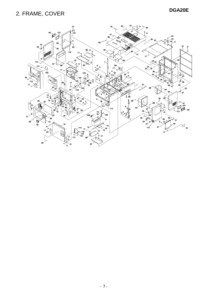### **DGA20E** 2. FRAME, COVER

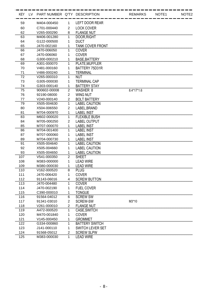| KEY LV | PART NUMBER Q'TY DESCRIPTION |                |                         | <b>REMARKS</b> | NOTE <sub>1</sub> | NOTE <sub>2</sub> |
|--------|------------------------------|----------------|-------------------------|----------------|-------------------|-------------------|
| 59     | M404-000450                  | 1              | <b>LEFT DOOR REAR</b>   |                |                   |                   |
| 60     | C701-000440                  | $\overline{2}$ | <b>LOCK COVER</b>       |                |                   |                   |
| 62     | V265-000290                  | 8              | <b>FLANGE NUT</b>       |                |                   |                   |
| 63     | M406-001280                  | 1              | DOOR, RIGHT             |                |                   |                   |
| 64     | G122-000500                  | 1              | <b>DUCT</b>             |                |                   |                   |
| 65     | J470-002160                  | 1              | <b>TANK COVER FRONT</b> |                |                   |                   |
| 66     | J470-006050                  | 1              | <b>COVER</b>            |                |                   |                   |
| 67     | J470-006060                  | 1              | <b>COVER</b>            |                |                   |                   |
| 68     | G300-000210                  | 1              | <b>BASE.BATTERY</b>     |                |                   |                   |
| 69     | A301-000070                  | 1              | PLATE, MUFFLER          |                |                   |                   |
| 70     | V481-000160                  | 1              | BATTERY 75D31R          |                |                   |                   |
| 71     | V486-000240                  | 1              | <b>TERMINAL</b>         |                |                   |                   |
| 72     | V265-000310                  | 1              | <b>NUT</b>              |                |                   |                   |
| 73     | G305-000030                  | 1              | <b>TERMINAL CAP</b>     |                |                   |                   |
| 74     | G303-000140                  | 1              | <b>BATTERY STAY</b>     |                |                   |                   |
| 75     | 900602-00008                 | $\overline{2}$ | <b>WASHER 8</b>         | 8.4*17*1.6     |                   |                   |
| 76     | 92190-08000                  | $\overline{2}$ | <b>WING NUT</b>         |                |                   |                   |
| 77     | V240-000140                  | $\overline{2}$ | <b>BOLT BATTERY</b>     |                |                   |                   |
| 79     | X505-004630                  | 1              | <b>LABEL CAUTION</b>    |                |                   |                   |
| 80     | X504-006550                  | $\overline{2}$ | LABEL, BRAND            |                |                   |                   |
| 81     | M704-000970                  | $\mathbf 1$    | <b>LABEL INST</b>       |                |                   |                   |
| 83     | M602-000020                  | 1              | <b>FLEXIBLE BUSH</b>    |                |                   |                   |
| 84     | M705-000250                  | $\overline{2}$ | <b>LABEL OUTPUT</b>     |                |                   |                   |
| 85     | M707-000070                  | 1              | <b>LABEL INST</b>       |                |                   |                   |
| 86     | M704-001400                  | 1              | <b>LABEL INST</b>       |                |                   |                   |
| 87     | M707-000060                  | 1              | <b>LABEL INST</b>       |                |                   |                   |
| 89     | M704-000730                  | 1              | <b>LABEL INST</b>       |                |                   |                   |
| 91     | X505-004640                  | 1              | <b>LABEL CAUTION</b>    |                |                   |                   |
| 92     | X505-004660                  | 1              | <b>LABEL CAUTION</b>    |                |                   |                   |
| 93     | X505-004650                  | 1              | <b>LABEL CAUTION</b>    |                |                   |                   |
| 107    | V541-000350                  | $\overline{2}$ | <b>SHEET</b>            |                |                   |                   |
| 108    | M383-000000                  | 1              | <b>LEAD WIRE</b>        |                |                   |                   |
| 109    | M380-000030                  | 1              | <b>LEAD WIRE</b>        |                |                   |                   |
| 110    | V162-000520                  | 8              | <b>PLUG</b>             |                |                   |                   |
| 111    | J470-006420                  | 1              | <b>COVER</b>            |                |                   |                   |
| 112    | 91143-06016                  | 4              | <b>SCREW BUTTON</b>     |                |                   |                   |
| 113    | J470-004480                  | 1              | <b>COVER</b>            |                |                   |                   |
| 114    | J470-002190                  | 1              | <b>FUEL COVER</b>       |                |                   |                   |
| 115    | C390-000010                  | 1              | <b>TONGUE</b>           |                |                   |                   |
| 116    | 91564-04012                  | 6              | <b>SCREW SW</b>         |                |                   |                   |
| 117    | 91341-03010                  | 2              | <b>SCREW-SW</b>         | M3*10          |                   |                   |
| 118    | V261-000010                  | $\overline{2}$ | <b>FLANGE NUT</b>       |                |                   |                   |
| 119    | A472-000520                  | 1              | CASE, SWITCH            |                |                   |                   |
| 120    | M470-001840                  | 1              | <b>COVER</b>            |                |                   |                   |
| 121    | V145-000450                  | 1              | <b>GROMMET</b>          |                |                   |                   |
| 122    | G334-000860                  |                | <b>BATTERY SWITCH</b>   |                |                   |                   |
| 123    | J141-000110                  | 1              | <b>SWITCH LEVER SET</b> |                |                   |                   |
| 124    | 91568-05012                  | $\overline{2}$ | <b>SCREW SLPW</b>       |                |                   |                   |
| 125    | M383-000030                  | 1              | <b>LEAD WIRE</b>        |                |                   |                   |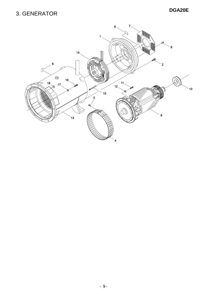### **DGA20E** 3. GENERATOR

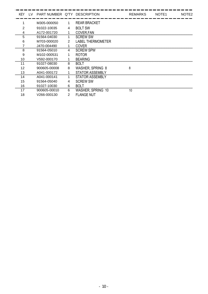| <b>KEY</b> | LV. | PART NUMBER Q'TY DESCRIPTION |   |                          | <b>REMARKS</b> | NOTE <sub>1</sub> | NOTE <sub>2</sub> |
|------------|-----|------------------------------|---|--------------------------|----------------|-------------------|-------------------|
|            |     | M305-000050                  | 1 | <b>REAR BRACKET</b>      |                |                   |                   |
| 2          |     | 91022-10035                  | 4 | <b>BOLT SW</b>           |                |                   |                   |
|            |     | A172-001720                  |   | COVER, FAN               |                |                   |                   |
| <br>5      |     | 91564-04030                  |   | <b>SCREW SW</b>          |                |                   |                   |
| 6          |     | M703-000020                  | 2 | <b>LABEL THERMOMETER</b> |                |                   |                   |
|            |     | J470-004490                  |   | COVER                    |                |                   |                   |
| 8          |     | 91564-05010                  | 4 | <b>SCREW SPW</b>         |                |                   |                   |
| 9          |     | M102-000531                  |   | <b>ROTOR</b>             |                |                   |                   |
|            |     | V592-000170                  |   | <b>BEARING</b>           |                |                   |                   |
| 11         |     | 91027-08030                  | 8 | <b>BOLT</b>              |                |                   |                   |
| 12         |     | 900605-00008                 | 8 | <b>WASHER, SPRING 8</b>  | 8              |                   |                   |
| 13         |     | A041-000172                  |   | <b>STATOR ASSEMBLY</b>   |                |                   |                   |
| 14         |     | A041-000141                  |   | <b>STATOR ASSEMBLY</b>   |                |                   |                   |
| 15         |     | 91564-05040                  |   | <b>SCREW SW</b>          |                |                   |                   |
| 16         |     | 91027-10030                  | 6 | <b>BOLT</b>              |                |                   |                   |
| 17         |     | 900605-00010                 | 6 | WASHER, SPRING 10        | 10             |                   |                   |
| 18         |     | V266-000130                  | 2 | <b>FLANGE NUT</b>        |                |                   |                   |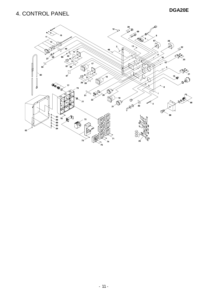### **DGA20E** 4. CONTROL PANEL

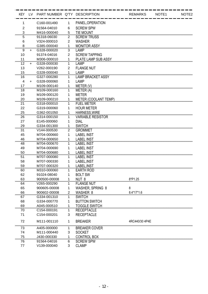| KEY LV |           | PART NUMBER Q'TY DESCRIPTION |                |                          | <b>REMARKS</b> | NOTE1 | NOTE <sub>2</sub> |
|--------|-----------|------------------------------|----------------|--------------------------|----------------|-------|-------------------|
| 1      |           | C <sub>160</sub> -001490     | 1              | PANEL, OPERATION         |                |       |                   |
| 2      |           | 91564-04010                  | 6              | <b>SCREW SPW</b>         |                |       |                   |
| 3      |           | M416-000040                  | 5              | <b>TIE MOUNT</b>         |                |       |                   |
| 5      |           | 91318-06030                  | $\overline{2}$ | <b>SCREW TRUSS</b>       |                |       |                   |
| 6      |           | V324-000010                  | $\overline{2}$ | <b>WASHER</b>            |                |       |                   |
| 8      |           | G385-000040                  | 1              | <b>MONITOR ASSY</b>      |                |       |                   |
| 9      | $\ddot{}$ | G328-000020                  | 3              | LAMP                     |                |       |                   |
| 10     |           | 91374-04016                  | $\overline{2}$ | <b>SCREW TAPPING</b>     |                |       |                   |
| 11     |           | M306-000010                  | 1              | PLATE LAMP SUB ASSY      |                |       |                   |
| 12     | $\ddot{}$ | G328-000030                  | 1              | <b>LAMP</b>              |                |       |                   |
| 13     |           | V262-000190                  | $\overline{2}$ | <b>FLANGE NUT</b>        |                |       |                   |
| 15     |           | G328-000040                  | 1              | LAMP                     |                |       |                   |
| 16     |           | G327-000280                  | 1              | <b>LAMP BRACKET ASSY</b> |                |       |                   |
| 4      | $\ddot{}$ | G328-000060                  | 1              | <b>LAMP</b>              |                |       |                   |
| 17     |           | M109-000140                  | 1              | METER (V)                |                |       |                   |
| 18     |           | M109-000160                  | 1              | METER (A)                |                |       |                   |
| 19     |           | M109-000120                  | 1              | <b>METER</b>             |                |       |                   |
| 20     |           | M109-000210                  | 1              | METER (COOLANT TEMP)     |                |       |                   |
| 21     |           | G318-000010                  | 1              | <b>FUEL METER</b>        |                |       |                   |
| 22     |           | G319-000060                  | 1              | <b>HOUR METER</b>        |                |       |                   |
| 25     |           | G362-001050                  | 1              | <b>HARNESS, WIRE</b>     |                |       |                   |
| 26     |           | G314-000150                  | 1              | <b>VARIABLE RESISTOR</b> |                |       |                   |
| 27     |           | E145-000060                  | 1              | <b>DIAL</b>              |                |       |                   |
| 29     |           | G334-001300                  | 1              | <b>SWITCH</b>            |                |       |                   |
| 31     |           | V144-000530                  | $\overline{2}$ | <b>GROMMET</b>           |                |       |                   |
| 45     |           | M704-000660                  | 1              | <b>LABEL INST</b>        |                |       |                   |
| 46     |           | M704-000650                  |                | <b>LABEL INST</b>        |                |       |                   |
| 48     |           | M704-000670                  | 1              | <b>LABEL INST</b>        |                |       |                   |
| 49     |           | M704-000690                  | 1              | <b>LABEL INST</b>        |                |       |                   |
| 50     |           | M704-000680                  | 1              | <b>LABEL INST</b>        |                |       |                   |
| 51     |           | M707-000080                  | 1              | <b>LABEL INST</b>        |                |       |                   |
| 58     |           | M707-000330                  | 1              | LABEL, INST              |                |       |                   |
| 59     |           | M707-000320                  | 1              | LABEL, INST              |                |       |                   |
| 60     |           | M310-000060                  | 1              | <b>EARTH ROD</b>         |                |       |                   |
| 62     |           | 91024-08040                  | 1              | <b>BOLT SW</b>           |                |       |                   |
| 63     |           | 900500-00008                 | 1              | NUT <sub>8</sub>         | 8*P1.25        |       |                   |
| 64     |           | V265-000290                  | 1              | <b>FLANGE NUT</b>        |                |       |                   |
| 65     |           | 900605-00008                 | 1              | <b>WASHER, SPRING 8</b>  | 8              |       |                   |
| 66     |           | 900602-00008                 | 2              | WASHER 8                 | 8.4*17*1.6     |       |                   |
| 67     |           | G334-001310                  | 1              | <b>SWITCH</b>            |                |       |                   |
| 68     |           | G334-000770                  | 1              | <b>BUTTON SWITCH</b>     |                |       |                   |
| 69     |           | A045-000510                  | 1              | <b>TOGGLE SWITCH</b>     |                |       |                   |
| 70     |           | C154-000191                  |                | <b>RECEPTACLE</b>        |                |       |                   |
| 71     |           | C154-000201                  | 3              | <b>RECEPTACLE</b>        |                |       |                   |
|        |           |                              |                |                          |                |       |                   |
| 72     |           | M111-001110                  | 1              | <b>BREAKER</b>           | 4RC440/30 4P4E |       |                   |
| 73     |           | A405-000000                  | 1              | <b>BREAKER COVER</b>     |                |       |                   |
| 74     |           | M111-000440                  | 3              | <b>SOCKET</b>            |                |       |                   |
| 75     |           | J430-000330                  | 1              | <b>CONTROL BOX</b>       |                |       |                   |
| 76     |           | 91564-04016                  | 6              | <b>SCREW SPW</b>         |                |       |                   |
| 77     |           | V139-000040                  | 3              | <b>CLAMP</b>             |                |       |                   |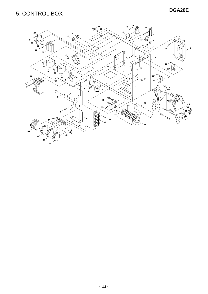### **DGA20E** 5. CONTROL BOX

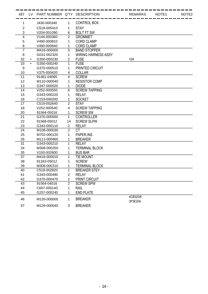|                |           | KEY LV PART NUMBER Q'TY DESCRIPTION |                         |                            | <b>REMARKS</b>      | NOTE1 | NOTE <sub>2</sub> |
|----------------|-----------|-------------------------------------|-------------------------|----------------------------|---------------------|-------|-------------------|
| 1              |           | J430-000340                         | 1                       | <b>CONTROL BOX</b>         |                     |       |                   |
| $\overline{2}$ |           | C519-005410                         | 1                       | <b>STAY</b>                |                     |       |                   |
| 3              |           | V204-001090                         | 6                       | <b>BOLT FT SW</b>          |                     |       |                   |
| 4              |           | V144-000360                         | 2                       | <b>GROMMET</b>             |                     |       |                   |
| 5              |           | V490-000810                         | 1                       | <b>CORD CLAMP</b>          |                     |       |                   |
| 6              |           | V490-000840                         | 1                       | <b>CORD CLAMP</b>          |                     |       |                   |
| 7              |           | M416-000000                         | 5                       | <b>BAND STOPPER</b>        |                     |       |                   |
| 8              |           | G031-002320                         | 1                       | <b>WIRING HARNESS ASSY</b> |                     |       |                   |
| 32             | $+$       | G350-000230                         | $\overline{2}$          | <b>FUSE</b>                | 10A                 |       |                   |
| 33             | $\ddot{}$ | G350-000240                         | 1                       | <b>FUSE</b>                |                     |       |                   |
| 9              |           | G370-000510                         | 1                       | PRINTED CIRCUIT            |                     |       |                   |
| 10             |           | V375-000420                         | 4                       | <b>COLLAR</b>              |                     |       |                   |
| 11             |           | 91461-04065                         | 4                       | <b>SCREW</b>               |                     |       |                   |
| 12             |           | M110-000040                         | 1                       | <b>RESISTOR COMP</b>       |                     |       |                   |
| 13             |           | G347-000020                         | 1                       | <b>DIODE</b>               |                     |       |                   |
| 14             |           | V252-000550                         | 6                       | <b>SCREW TAPPING</b>       |                     |       |                   |
| 15             |           | G343-000220                         | 1                       | <b>RELAY</b>               |                     |       |                   |
| 16             |           | C153-000200                         | 1                       | <b>SOCKET</b>              |                     |       |                   |
| 17             |           | C519-002640                         | $\overline{2}$          | <b>STAY</b>                |                     |       |                   |
| 18             |           | V252-000540                         | 4                       | <b>SCREW TAPPING</b>       |                     |       |                   |
| 20             |           | 91564-05016                         | 1                       | <b>SCREW SW</b>            |                     |       |                   |
| 21             |           | G370-000500                         | 1                       | <b>CONTROLLER</b>          |                     |       |                   |
| 22             |           | 91568-05012                         | 14                      | <b>SCREW SLPW</b>          |                     |       |                   |
| 23             |           | G343-000110                         | $\overline{2}$          | <b>RELAY</b>               |                     |       |                   |
| 24             |           | M108-000030                         | $\overline{2}$          | <b>CT</b>                  |                     |       |                   |
| 25             |           | M702-000120                         | 1                       | PAPER, INS                 |                     |       |                   |
| 26             |           | M111-000460                         | 1                       | <b>BREAKER</b>             |                     |       |                   |
| 31             |           | G343-000210                         | 1                       | <b>RELAY</b>               |                     |       |                   |
| 34             |           | M308-000250                         | 1                       | <b>TERMINAL BLOCK</b>      |                     |       |                   |
| 35             |           | V150-002600                         | 1                       | <b>BUS BAR</b>             |                     |       |                   |
| 37             |           | M416-000010                         | 1                       | <b>TIE MOUNT</b>           |                     |       |                   |
| 38             |           | 91343-05012                         | 1                       | <b>SCREW</b>               |                     |       |                   |
| 39             |           | M308-000310                         | 1                       | <b>TERMINAL BLOCK</b>      |                     |       |                   |
| 40             |           | C519-002820                         | 1                       | <b>BREAKER STEY</b>        |                     |       |                   |
| 41             |           | G343-000490                         | $\overline{c}$          | <b>RELAY</b>               |                     |       |                   |
| 42             |           | G370-000470                         | $\overline{\mathbf{c}}$ | PRINT CIRCUIT              |                     |       |                   |
| 43             |           | 91564-04016                         | 2                       | <b>SCREW SPW</b>           |                     |       |                   |
| 44             |           | C607-000140                         | 1                       | <b>RAIL</b>                |                     |       |                   |
| 45             |           | G257-000240                         | 1                       | <b>END PLATE</b>           |                     |       |                   |
| 46             |           | M126-000000                         | 1                       | <b>BREAKER</b>             | 4CB320/6<br>3P3E20A |       |                   |
| 47             |           | M126-000040                         | 3                       | <b>BREAKER</b>             |                     |       |                   |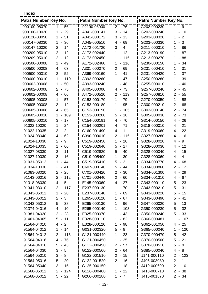**Index**

| Patrs Number Key No. |                                                  | Patrs Number Key No. |                                                 | Patrs Number Key No. |                                                  |
|----------------------|--------------------------------------------------|----------------------|-------------------------------------------------|----------------------|--------------------------------------------------|
| 900100-08070         | $1 - 56$                                         | 92190-08000          | $2 - 76$                                        | G202-000230          | $1 - 9$                                          |
| 900100-10020         | 29<br>1<br>$\blacksquare$                        | A041-000141          | 3<br>14<br>$\blacksquare$                       | G202-000240          | 10<br>1<br>$\overline{\phantom{a}}$              |
| 900120-08050         | 51<br>1<br>$\overline{\phantom{a}}$              | A041-000172          | 13<br>3<br>$\overline{\phantom{a}}$             | G203-000320          | 2<br>1<br>$\overline{\phantom{a}}$               |
| 900147-08030         | 36<br>1<br>$\blacksquare$                        | A045-000510          | 4<br>$-69$                                      | G203-000330          | 3<br>1<br>$\blacksquare$                         |
| 900147-10020         | $\overline{2}$<br>14<br>$\blacksquare$           | A172-001720          | 3<br>$\overline{4}$<br>$\overline{\phantom{a}}$ | G211-000310          | $\mathbf 1$<br>86<br>$\overline{\phantom{a}}$    |
| 900209-05010         | $2 -$<br>12                                      | A172-002440          | 1<br>12<br>$\blacksquare$                       | G213-000190          | 87<br>1<br>$\overline{\phantom{a}}$              |
| 900209-05010         | 12<br>$\overline{2}$<br>$\sim$                   | A172-002450          | 115<br>1<br>$\overline{\phantom{a}}$            | G213-000270          | 1<br>88<br>$\qquad \qquad \blacksquare$          |
| 900500-00008         | 49<br>1<br>$\blacksquare$                        | A172-002460          | 1<br>116<br>$\blacksquare$                      | G230-000150          | 34<br>1<br>$\overline{\phantom{a}}$              |
| 900500-00008         | 63<br>4<br>$\overline{\phantom{a}}$              | A301-000070          | 69<br>$\overline{2}$<br>$\blacksquare$          | G231-000410          | 31<br>1<br>$\blacksquare$                        |
| 900500-00010         | 52<br>$\overline{2}$<br>$\blacksquare$           | A369-000160          | 1<br>41<br>$\blacksquare$                       | G231-000420          | 37<br>1<br>$\blacksquare$                        |
| 900600-00010         | 110<br>1                                         | A392-000260          | 1<br>47<br>$\overline{\phantom{a}}$             | G250-000280          | 39<br>1<br>$\blacksquare$                        |
| 900602-00008         | 50<br>$\mathbf 1$<br>$\overline{\phantom{a}}$    | A393-000240          | 1<br>48<br>$\overline{\phantom{a}}$             | G255-000010          | 40<br>1<br>$\overline{\phantom{a}}$              |
| 900602-00008         | 75<br>$\overline{2}$<br>$\blacksquare$           | A405-000000          | 73<br>4<br>$\blacksquare$                       | G257-000240          | 5<br>45<br>$\overline{\phantom{a}}$              |
| 900602-00008         | 66<br>4<br>$\blacksquare$                        | A472-000520          | $\overline{2}$<br>119<br>$\blacksquare$         | G257-000810          | 2<br>55<br>$\blacksquare$                        |
| 900605-00008         | 1<br>57<br>$\overline{\phantom{a}}$              | C153-000170          | 1<br>79<br>$\blacksquare$                       | G270-000050          | 58<br>1<br>$\blacksquare$                        |
| 900605-00008         | 12<br>3<br>$\blacksquare$                        | C153-000180          | 1<br>95<br>$\blacksquare$                       | G300-000210          | $\overline{2}$<br>68<br>$\overline{\phantom{a}}$ |
| 900605-00008         | 65<br>4<br>$\blacksquare$                        | C153-000190          | 1<br>105<br>$\blacksquare$                      | G303-000140          | $2 -$<br>74                                      |
| 900605-00010         | 109<br>1<br>$\overline{\phantom{a}}$             | C153-000200          | 5<br>16<br>$\overline{\phantom{a}}$             | G305-000030          | $\overline{2}$<br>73<br>$\overline{\phantom{a}}$ |
| 900605-00010         | 3<br>17<br>$\blacksquare$                        | C154-000191          | 70<br>4<br>$\blacksquare$                       | G314-000150          | 26<br>4<br>$\sim$                                |
| 91022-10020          | 24<br>1<br>$\overline{\phantom{a}}$              | C154-000201          | 71<br>4<br>$\blacksquare$                       | G318-000010          | 21<br>4<br>$\overline{\phantom{a}}$              |
| 91022-10035          | 3<br>$\overline{2}$<br>$\blacksquare$            | C160-001490          | 4<br>1<br>$\blacksquare$                        | G319-000060          | 22<br>4 -                                        |
| 91024-08040          | 62<br>4<br>$\overline{\phantom{a}}$              | C390-000010          | 2<br>115<br>$\blacksquare$                      | G327-000280          | 16<br>4<br>$\overline{\phantom{a}}$              |
| 91024-10030          | 2<br>9<br>$\overline{\phantom{a}}$               | C519-002450          | 26<br>1<br>$\blacksquare$                       | G328-000020          | $\overline{4}$<br>9<br>$\blacksquare$            |
| 91024-10035          | 66<br>1                                          | C519-002640          | 5<br>17<br>$\overline{\phantom{a}}$             | G328-000030          | 12<br>4<br>$\overline{\phantom{a}}$              |
| 91027-08030          | 3<br>11<br>$\overline{\phantom{a}}$              | C519-002820          | 5<br>-40<br>$\blacksquare$                      | G328-000040          | 15<br>4<br>$\overline{\phantom{a}}$              |
| 91027-10030          | 3<br>16<br>$\overline{\phantom{a}}$              | C519-005400          | 30<br>1<br>$\overline{\phantom{a}}$             | G328-000060          | $\overline{4}$<br>4<br>$\overline{\phantom{a}}$  |
| 91031-05012          | 44<br>1                                          | C519-005410          | $\overline{2}$<br>5<br>$\blacksquare$           | G334-000770          | 68<br>4<br>$\overline{\phantom{a}}$              |
| 91034-10030          | 41<br>$\overline{2}$<br>$\overline{\phantom{a}}$ | C607-000140          | 5<br>$-44$                                      | G334-000860          | 122<br>2<br>$\overline{\phantom{a}}$             |
| 91083-08020          | $2 - 25$                                         | C701-000420          | $2 - 30$                                        | G334-001300          | 4 - 29                                           |
| 91143-06016          | $2 - 112$                                        | C701-000440          | $2 - 60$                                        | G334-001310          | 4 - 67                                           |
| 91318-06030          | $4 - 5$                                          | E145-000060          | $4 - 27$                                        | G343-000110          | $5 - 23$                                         |
| 91341-03010          | $2 - 117$                                        | E237-000130          | $1 - 70$                                        | G343-000210          | $5 - 31$                                         |
| 91343-05012          | $-28$<br>$\mathbf 1$                             | E237-000140          | 1<br>$-69$                                      | G343-000220          | $5 - 15$                                         |
| 91343-05012          | $2 - 3$                                          | E265-000120          | $-67$<br>$\mathbf 1$                            | G343-000490          | $5 -$<br>41                                      |
| 91343-05012          | $5 - 38$                                         | E265-000130          | 1<br>$-96$                                      | G347-000020          | $5 - 13$                                         |
| 91374-04016          | $4 - 10$                                         | E265-000140          | $1 - 103$                                       | G350-000230          | $5 - 32$                                         |
| 91381-04020          | $2 - 23$                                         | E325-000070          | $-43$<br>1                                      | G350-000240          | $5 - 33$                                         |
| 91461-04065          | $5 - 11$                                         | E328-000110          | $-82$<br>1                                      | G360-000481          | $-107$<br>1.                                     |
| 91564-04010          | $4 - 2$                                          | E328-000120          | - 98<br>1                                       | G362-001050          | 4 - 25                                           |
| 91564-04012          | $1 - 14$                                         | G031-002320          | $5 - 8$                                         | G365-000040          | $1 - 120$                                        |
| 91564-04012          | 116<br>$2 -$                                     | G121-000440          | $\mathbf{1}$<br>$-23$                           | G370-000470          | $5 - 42$                                         |
| 91564-04016          | $4 - 76$                                         | G121-000450          | $-25$<br>1                                      | G370-000500          | $5 - 21$                                         |
| 91564-04016          | 5<br>$-43$                                       | G122-000490          | $2 - 57$                                        | G370-000510          | 5<br>- 9                                         |
| 91564-04030          | 3<br>- 5                                         | G122-000500          | $2 - 64$                                        | G385-000040          | 4 - 8                                            |
| 91564-05010          | 3<br>- 8                                         | G122-001510          | $2 - 15$                                        | J141-000110          | $2 - 123$                                        |
| 91564-05016          | 5<br>$-20$                                       | G122-001520          | $2 - 16$                                        | J405-003080          | $2 -$<br>$\overline{1}$                          |
| 91564-05040          | $-15$<br>3                                       | G125-000150          | $\mathbf{1}$<br>$-18$                           | J410-000690          | $2 - 10$                                         |
| 91568-05012          | $2 - 124$                                        | G126-000400          | 1<br>$-22$                                      | J410-000710          | $2 - 38$                                         |
| 91568-05012          | $5 - 22$                                         | G200-000180          | $1 - 7$                                         | J410-001870          | $2 - 34$                                         |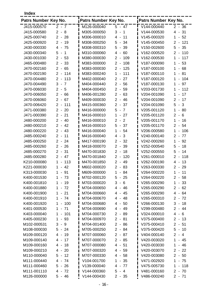**Index**

| Patrs Number Key No. |                                                  | Patrs Number Key No. |                                                    | Patrs Number Key No. |                                                   |
|----------------------|--------------------------------------------------|----------------------|----------------------------------------------------|----------------------|---------------------------------------------------|
| J415-000570          | $2 - 7$                                          | M126-000040          | $5 - 47$                                           | V144-000440          | $2 - 36$                                          |
| J415-000580          | $2 - 8$                                          | M305-000050          | 3<br>$\overline{1}$<br>$\blacksquare$              | V144-000530          | $4 -$<br>31                                       |
| J425-000740          | $2 - 28$                                         | M306-000010          | $\overline{4}$<br>11<br>$\overline{\phantom{a}}$   | V145-000320          | $\mathbf 1$<br>52<br>$\blacksquare$               |
| J425-000920          | $2 -$<br>19                                      | M308-000250          | 5<br>$-34$                                         | V145-000450          | 121<br>$2 -$                                      |
| J430-000330          | 75<br>$4 -$                                      | M308-000310          | 5<br>-39<br>$\overline{\phantom{a}}$               | V150-002600          | 5<br>35<br>$\blacksquare$                         |
| J430-000340          | 5<br>1<br>$\overline{\phantom{a}}$               | M310-000060          | $\overline{4}$<br>60<br>$\blacksquare$             | V162-000520          | $\overline{2}$<br>110<br>$\overline{\phantom{a}}$ |
| J430-001030          | $2 -$<br>53                                      | M380-000030          | $\overline{2}$<br>109<br>$\blacksquare$            | V162-000530          | 1<br>117<br>$\blacksquare$                        |
| J465-000480          | 33<br>$2 -$                                      | M383-000000          | $2 -$<br>108                                       | V187-000090          | 1<br>53<br>$\blacksquare$                         |
| J470-002160          | $2 - 65$                                         | M383-000030          | $2 - 125$                                          | V187-000100          | 68<br>1<br>$\overline{\phantom{a}}$               |
| J470-002190          | $\overline{2}$<br>114<br>$\sim$                  | M383-000240          | $\mathbf{1}$<br>111<br>$\blacksquare$              | V187-000110          | 81<br>1<br>$\frac{1}{2}$                          |
| J470-004480          | $2 -$<br>113                                     | M402-000040          | 27<br>$2 -$                                        | V187-000120          | 104<br>1<br>$\overline{\phantom{0}}$              |
| J470-004490          | 3<br>$\overline{7}$<br>$\sim$                    | M404-000440          | $2 - 56$                                           | V187-000130          | 97<br>1<br>$\blacksquare$                         |
| J470-006030          | $\overline{2}$<br>5<br>$\sim$                    | M404-000450          | $\overline{2}$<br>$-59$                            | V203-001730          | 112<br>1<br>$\blacksquare$                        |
| J470-006050          | 2<br>66<br>$\overline{\phantom{a}}$              | M406-001280          | $\overline{2}$<br>63<br>$\blacksquare$             | V204-001090          | 17<br>1<br>$\overline{a}$                         |
| J470-006060          | $\overline{2}$<br>67<br>$\sim$                   | M409-000030          | $\overline{2}$<br>$-46$                            | V204-001090          | $\overline{2}$<br>17<br>$\blacksquare$            |
| J470-006420          | 2<br>111<br>$\blacksquare$                       | M415-000360          | $\overline{2}$<br>37<br>$\overline{\phantom{a}}$   | V204-001090          | 3<br>5<br>$\blacksquare$                          |
| J471-000380          | $\overline{2}$<br>20<br>$\blacksquare$           | M416-000000          | 5<br>$\overline{7}$<br>$\blacksquare$              | V205-001120          | $\mathbf 1$<br>80<br>$\blacksquare$               |
| J471-000390          | $\overline{2}$<br>21<br>$\overline{\phantom{a}}$ | M416-000010          | 1<br>27<br>$\overline{\phantom{a}}$                | V205-001120          | $\overline{2}$<br>6<br>$\blacksquare$             |
| J480-000200          | 2<br>40<br>$\blacksquare$                        | M416-000010          | $\overline{2}$<br>$\overline{2}$<br>$\blacksquare$ | V205-001170          | 1<br>16<br>$\blacksquare$                         |
|                      |                                                  |                      | 5                                                  |                      | $\overline{2}$                                    |
| J480-000210          | 2<br>42<br>$\blacksquare$                        | M416-000010          | 37<br>$\blacksquare$<br>54<br>$\blacksquare$       | V205-001170          | 54<br>$\overline{\phantom{a}}$                    |
| J480-000220          | $\overline{2}$<br>43<br>$\sim$                   | M416-000040          | 1                                                  | V206-000580          | 106<br>1<br>$\blacksquare$                        |
| J485-000240          | $\overline{2}$<br>11<br>$\blacksquare$           | M416-000040          | 3<br>$\overline{4}$<br>$\overline{\phantom{a}}$    | V240-000140          | $\overline{2}$<br>77<br>$\overline{\phantom{a}}$  |
| J485-000250          | $\overline{2}$<br>24<br>$\blacksquare$           | M417-000190          | $\overline{2}$<br>$\blacksquare$<br>-32            | V242-000260          | 1<br>92<br>$\blacksquare$                         |
| J485-000260          | 2<br>26<br>$\blacksquare$                        | M418-000070          | $\overline{2}$<br>39<br>$\overline{\phantom{a}}$   | V252-000540          | 5<br>18<br>$\blacksquare$                         |
| J485-000270          | $2 - 31$                                         | M470-001830          | 18<br>$2 -$                                        | V252-000550          | 5<br>14<br>$\overline{\phantom{a}}$               |
| J485-000280          | $\overline{2}$<br>$-47$                          | M470-001840          | 2 <sup>1</sup><br>120<br>$\overline{\phantom{a}}$  | V261-000010          | $\overline{2}$<br>118<br>$\overline{\phantom{a}}$ |
| K210-000080          | 113<br>1<br>$\blacksquare$                       | M470-001850          | 2 <sup>1</sup><br>$-49$                            | V262-000190          | 13<br>4 -                                         |
| K221-000030          | 42<br>1<br>$\overline{\phantom{0}}$              | M602-000020          | $\overline{2}$<br>$-83$                            | V263-000330          | $\overline{2}$<br>29<br>$\overline{\phantom{a}}$  |
| K313-000030          | 91<br>$\mathbf{1}$<br>۰.                         | M609-000000          | $\mathbf{1}$<br>$-84$                              | V264-000220          | $\mathbf{1}$<br>11<br>$\sim$                      |
| K400-001530          | $-73$<br>1.                                      | M702-000120          | $5 - 25$                                           | V264-000220          | $2 - 58$                                          |
| K400-001810          | 19<br>1<br>$\blacksquare$                        | M703-000020          | $3 - 6$                                            | V265-000290          | $1 - 33$                                          |
| K400-001880          | $-72$<br>1.                                      | M704-000650          | $4 - 46$                                           | V265-000290          | $2 - 62$                                          |
| K400-001900          | 21<br>1<br>$\overline{\phantom{a}}$              | M704-000660          | 4 - 45                                             | V265-000290          | 4 -<br>64                                         |
| K400-001910          | $-74$<br>1.                                      | M704-000670          | $4 - 48$                                           | V265-000310          | $2 - 72$                                          |
| K400-001920          | 100<br>1.<br>$\blacksquare$                      | M704-000680          | $4 - 50$                                           | V266-000130          | $3 -$<br>18                                       |
| K401-000530          | $-71$<br>1.                                      | M704-000690          | 4 - 49                                             | V299-000480          | $2 - 44$                                          |
| K403-000040          | 101<br>1<br>$\overline{\phantom{a}}$             | M704-000730          | $2 - 89$                                           | V324-000010          | $4 -$<br>6                                        |
| K405-000230          | 93<br>1<br>$\overline{\phantom{a}}$              | M704-000970          | $2 - 81$                                           | V375-000400          | $2 - 13$                                          |
| M102-000531          | 3<br>- 9                                         | M704-001400          | $2 - 86$                                           | V375-000410          | $2 - 51$                                          |
| M108-000030          | 5<br>$-24$                                       | M705-000250          | $2 - 84$                                           | V375-000420          | $5 - 10$                                          |
| M109-000120          | 19<br>4<br>$\sim$                                | M707-000060          | $2 - 87$                                           | V404-000140          | $2 - 4$                                           |
| M109-000140          | 17<br>4<br>$\sim$                                | M707-000070          | $2 - 85$                                           | V420-003020          | 1<br>45<br>$\overline{\phantom{a}}$               |
| M109-000160          | 18<br>4<br>$\sim$                                | M707-000080          | 4<br>- 51                                          | V420-003030          | 1<br>46<br>$\blacksquare$                         |
| M109-000210          | 20<br>4 -                                        | M707-000320          | $4 - 59$                                           | V420-003070          | $2 -$<br>22                                       |
| M110-000040          | 5<br>12<br>$\sim$                                | M707-000330          | $4 - 58$                                           | V420-003080          | $2 -$<br>50                                       |
| M111-000440          | 4 - 74                                           | V104-001700          | $-35$<br>1                                         | V471-002920          | 1<br>$-75$                                        |
| M111-000460          | $5 - 26$                                         | V139-000040          | $-77$<br>4                                         | V475-005730          | 1<br>118<br>$\overline{\phantom{a}}$              |
| M111-001110          | 4 - 72                                           | V144-000360          | 5<br>- 4                                           | V481-000160          | $2 - 70$                                          |
| M126-000000          | $5 - 46$                                         | V144-000430          | $2 - 35$                                           | V486-000240          | $2 - 71$                                          |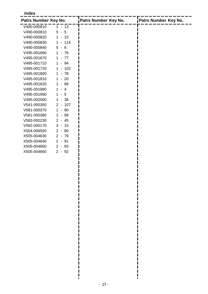#### **Index**

| Patrs Number Key No. |                                    | Patrs Number Key No. | Patrs Number Key No. |
|----------------------|------------------------------------|----------------------|----------------------|
| V490-000810          | $1 - 13$                           |                      |                      |
| V490-000810          | $5 - 5$                            |                      |                      |
| V490-000820          | $1 - 15$                           |                      |                      |
| V490-000830          | $-114$<br>$\mathbf 1$              |                      |                      |
| V490-000840          | $5 - 6$                            |                      |                      |
| V495-001660          | $\mathbf 1$<br>$-76$               |                      |                      |
| V495-001670          | $-77$<br>$\mathbf 1$               |                      |                      |
| V495-001710          | $-94$<br>1                         |                      |                      |
| V495-001720          | $-102$<br>1                        |                      |                      |
| V495-001800          | $-78$<br>$\mathbf 1$               |                      |                      |
| V495-001810          | $-20$<br>1                         |                      |                      |
| V495-001820          | - 89<br>1                          |                      |                      |
| V495-001980          | 1<br>$\overline{4}$                |                      |                      |
| V495-001990          | 5<br>1<br>$\overline{\phantom{0}}$ |                      |                      |
| V495-002000          | $-38$<br>1                         |                      |                      |
| V541-000350          | $2 - 107$                          |                      |                      |
| V581-000370          | $-90$<br>1                         |                      |                      |
| V581-000380          | - 99<br>1                          |                      |                      |
| V583-000230          | $2 - 45$                           |                      |                      |
| V592-000170          | $3 - 10$                           |                      |                      |
| X504-006550          | $2 - 80$                           |                      |                      |
| X505-004630          | $2 - 79$                           |                      |                      |
| X505-004640          | $2 - 91$                           |                      |                      |
| X505-004650          | $2 - 93$                           |                      |                      |
| X505-004660          | $2 - 92$                           |                      |                      |
|                      |                                    |                      |                      |

ļ